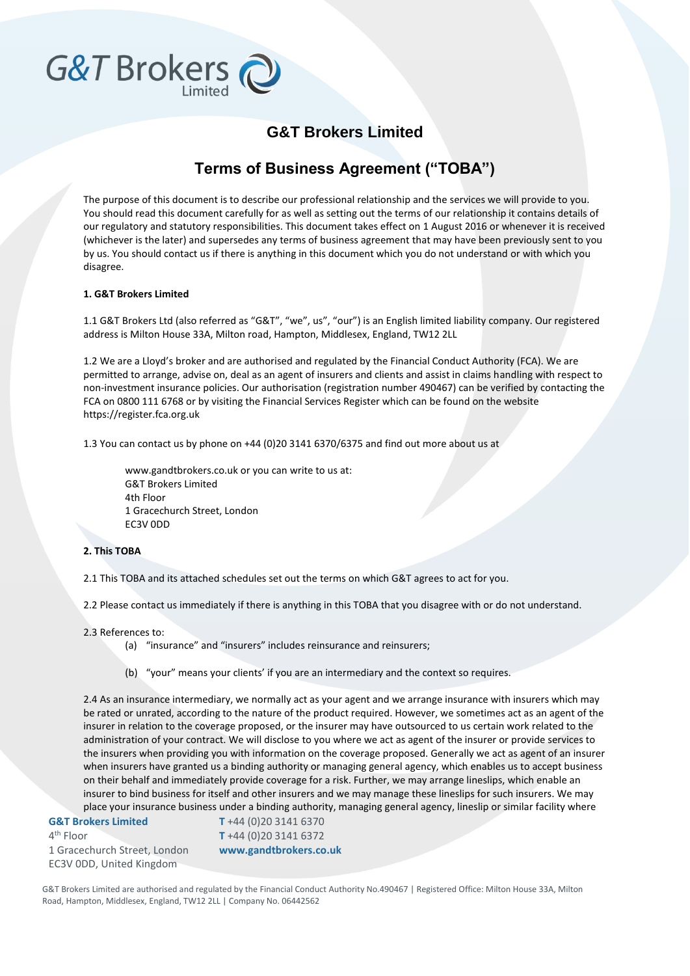## **G&T Brokers Limited**

### **Terms of Business Agreement ("TOBA")**

The purpose of this document is to describe our professional relationship and the services we will provide to you. You should read this document carefully for as well as setting out the terms of our relationship it contains details of our regulatory and statutory responsibilities. This document takes effect on 1 August 2016 or whenever it is received (whichever is the later) and supersedes any terms of business agreement that may have been previously sent to you by us. You should contact us if there is anything in this document which you do not understand or with which you disagree.

#### **1. G&T Brokers Limited**

G&T Brokers

1.1 G&T Brokers Ltd (also referred as "G&T", "we", us", "our") is an English limited liability company. Our registered address is Milton House 33A, Milton road, Hampton, Middlesex, England, TW12 2LL

1.2 We are a Lloyd's broker and are authorised and regulated by the Financial Conduct Authority (FCA). We are permitted to arrange, advise on, deal as an agent of insurers and clients and assist in claims handling with respect to non-investment insurance policies. Our authorisation (registration number 490467) can be verified by contacting the FCA on 0800 111 6768 or by visiting the Financial Services Register which can be found on the website https://register.fca.org.uk

1.3 You can contact us by phone on +44 (0)20 3141 6370/6375 and find out more about us at

www.gandtbrokers.co.uk or you can write to us at: G&T Brokers Limited 4th Floor 1 Gracechurch Street, London EC3V 0DD

#### **2. This TOBA**

2.1 This TOBA and its attached schedules set out the terms on which G&T agrees to act for you.

2.2 Please contact us immediately if there is anything in this TOBA that you disagree with or do not understand.

2.3 References to:

(a) "insurance" and "insurers" includes reinsurance and reinsurers;

(b) "your" means your clients' if you are an intermediary and the context so requires.

2.4 As an insurance intermediary, we normally act as your agent and we arrange insurance with insurers which may be rated or unrated, according to the nature of the product required. However, we sometimes act as an agent of the insurer in relation to the coverage proposed, or the insurer may have outsourced to us certain work related to the administration of your contract. We will disclose to you where we act as agent of the insurer or provide services to the insurers when providing you with information on the coverage proposed. Generally we act as agent of an insurer when insurers have granted us a binding authority or managing general agency, which enables us to accept business on their behalf and immediately provide coverage for a risk. Further, we may arrange lineslips, which enable an insurer to bind business for itself and other insurers and we may manage these lineslips for such insurers. We may place your insurance business under a binding authority, managing general agency, lineslip or similar facility where

#### **G&T Brokers Limited**

4<sup>th</sup> Floor 1 Gracechurch Street, London EC3V 0DD, United Kingdom

**T** +44 (0)20 3141 6370 **T** +44 (0)20 3141 6372 **www.gandtbrokers.co.uk**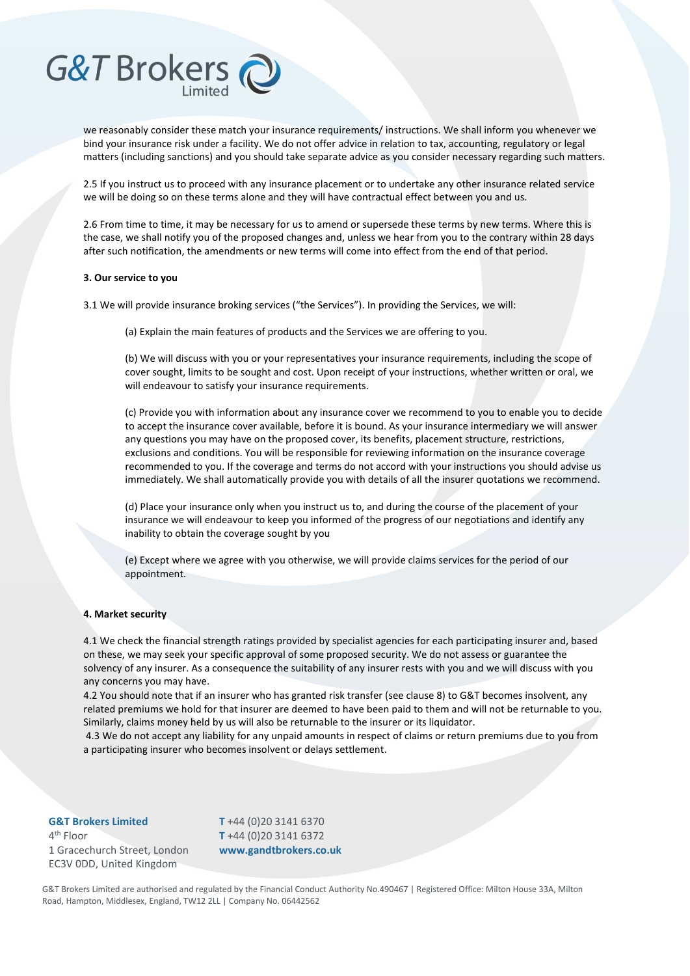

we reasonably consider these match your insurance requirements/ instructions. We shall inform you whenever we bind your insurance risk under a facility. We do not offer advice in relation to tax, accounting, regulatory or legal matters (including sanctions) and you should take separate advice as you consider necessary regarding such matters.

2.5 If you instruct us to proceed with any insurance placement or to undertake any other insurance related service we will be doing so on these terms alone and they will have contractual effect between you and us.

2.6 From time to time, it may be necessary for us to amend or supersede these terms by new terms. Where this is the case, we shall notify you of the proposed changes and, unless we hear from you to the contrary within 28 days after such notification, the amendments or new terms will come into effect from the end of that period.

#### **3. Our service to you**

3.1 We will provide insurance broking services ("the Services"). In providing the Services, we will:

(a) Explain the main features of products and the Services we are offering to you.

(b) We will discuss with you or your representatives your insurance requirements, including the scope of cover sought, limits to be sought and cost. Upon receipt of your instructions, whether written or oral, we will endeavour to satisfy your insurance requirements.

(c) Provide you with information about any insurance cover we recommend to you to enable you to decide to accept the insurance cover available, before it is bound. As your insurance intermediary we will answer any questions you may have on the proposed cover, its benefits, placement structure, restrictions, exclusions and conditions. You will be responsible for reviewing information on the insurance coverage recommended to you. If the coverage and terms do not accord with your instructions you should advise us immediately. We shall automatically provide you with details of all the insurer quotations we recommend.

(d) Place your insurance only when you instruct us to, and during the course of the placement of your insurance we will endeavour to keep you informed of the progress of our negotiations and identify any inability to obtain the coverage sought by you

(e) Except where we agree with you otherwise, we will provide claims services for the period of our appointment.

#### **4. Market security**

4.1 We check the financial strength ratings provided by specialist agencies for each participating insurer and, based on these, we may seek your specific approval of some proposed security. We do not assess or guarantee the solvency of any insurer. As a consequence the suitability of any insurer rests with you and we will discuss with you any concerns you may have.

4.2 You should note that if an insurer who has granted risk transfer (see clause 8) to G&T becomes insolvent, any related premiums we hold for that insurer are deemed to have been paid to them and will not be returnable to you. Similarly, claims money held by us will also be returnable to the insurer or its liquidator.

4.3 We do not accept any liability for any unpaid amounts in respect of claims or return premiums due to you from a participating insurer who becomes insolvent or delays settlement.

## **G&T Brokers Limited**

4<sup>th</sup> Floor 1 Gracechurch Street, London EC3V 0DD, United Kingdom

**T** +44 (0)20 3141 6370 **T** +44 (0)20 3141 6372 **www.gandtbrokers.co.uk**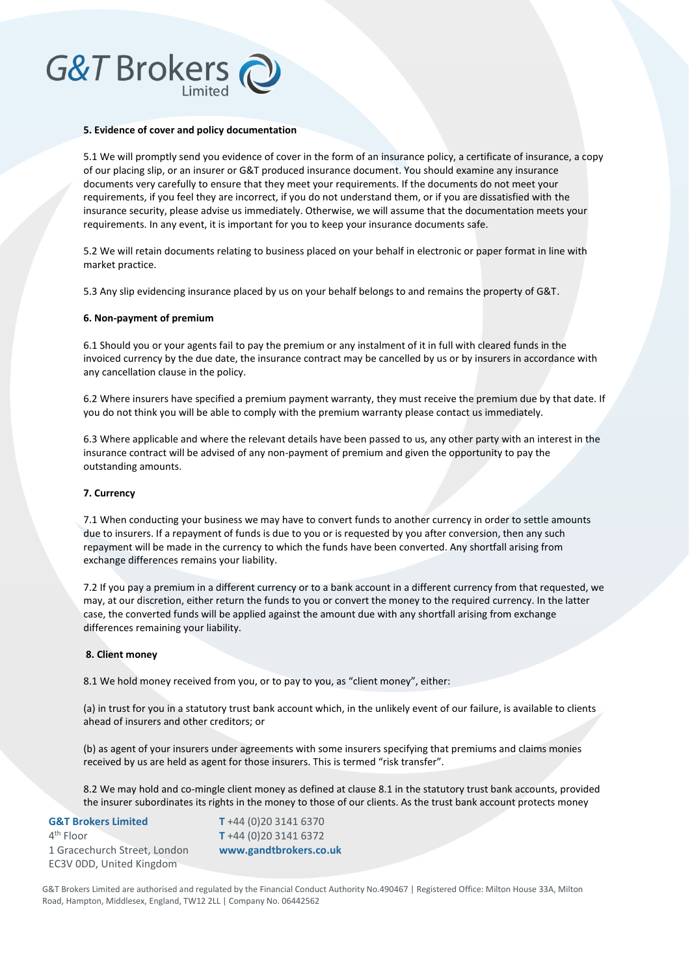#### **5. Evidence of cover and policy documentation**

5.1 We will promptly send you evidence of cover in the form of an insurance policy, a certificate of insurance, a copy of our placing slip, or an insurer or G&T produced insurance document. You should examine any insurance documents very carefully to ensure that they meet your requirements. If the documents do not meet your requirements, if you feel they are incorrect, if you do not understand them, or if you are dissatisfied with the insurance security, please advise us immediately. Otherwise, we will assume that the documentation meets your requirements. In any event, it is important for you to keep your insurance documents safe.

5.2 We will retain documents relating to business placed on your behalf in electronic or paper format in line with market practice.

5.3 Any slip evidencing insurance placed by us on your behalf belongs to and remains the property of G&T.

#### **6. Non-payment of premium**

6.1 Should you or your agents fail to pay the premium or any instalment of it in full with cleared funds in the invoiced currency by the due date, the insurance contract may be cancelled by us or by insurers in accordance with any cancellation clause in the policy.

6.2 Where insurers have specified a premium payment warranty, they must receive the premium due by that date. If you do not think you will be able to comply with the premium warranty please contact us immediately.

6.3 Where applicable and where the relevant details have been passed to us, any other party with an interest in the insurance contract will be advised of any non-payment of premium and given the opportunity to pay the outstanding amounts.

#### **7. Currency**

7.1 When conducting your business we may have to convert funds to another currency in order to settle amounts due to insurers. If a repayment of funds is due to you or is requested by you after conversion, then any such repayment will be made in the currency to which the funds have been converted. Any shortfall arising from exchange differences remains your liability.

7.2 If you pay a premium in a different currency or to a bank account in a different currency from that requested, we may, at our discretion, either return the funds to you or convert the money to the required currency. In the latter case, the converted funds will be applied against the amount due with any shortfall arising from exchange differences remaining your liability.

#### **8. Client money**

8.1 We hold money received from you, or to pay to you, as "client money", either:

(a) in trust for you in a statutory trust bank account which, in the unlikely event of our failure, is available to clients ahead of insurers and other creditors; or

(b) as agent of your insurers under agreements with some insurers specifying that premiums and claims monies received by us are held as agent for those insurers. This is termed "risk transfer".

8.2 We may hold and co-mingle client money as defined at clause 8.1 in the statutory trust bank accounts, provided the insurer subordinates its rights in the money to those of our clients. As the trust bank account protects money

| <b>G&amp;T Brokers Limited</b> |
|--------------------------------|
| 4 <sup>th</sup> Floor          |
| 1 Gracechurch Street, London   |
| EC3V ODD, United Kingdom       |

**T** +44 (0)20 3141 6370 **T** +44 (0)20 3141 6372 **www.gandtbrokers.co.uk**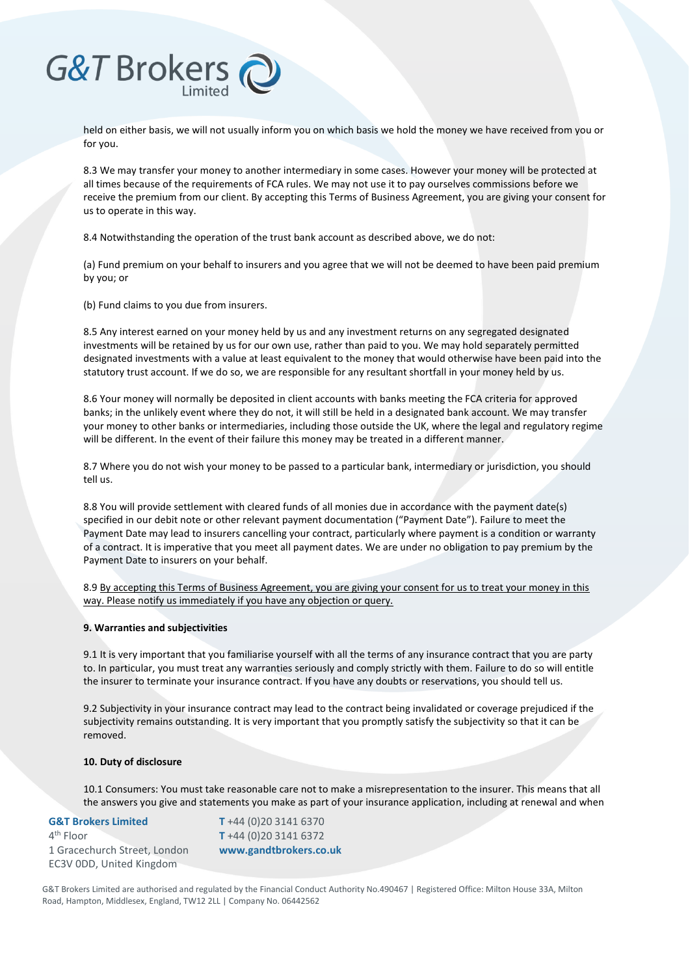held on either basis, we will not usually inform you on which basis we hold the money we have received from you or for you.

8.3 We may transfer your money to another intermediary in some cases. However your money will be protected at all times because of the requirements of FCA rules. We may not use it to pay ourselves commissions before we receive the premium from our client. By accepting this Terms of Business Agreement, you are giving your consent for us to operate in this way.

8.4 Notwithstanding the operation of the trust bank account as described above, we do not:

(a) Fund premium on your behalf to insurers and you agree that we will not be deemed to have been paid premium by you; or

(b) Fund claims to you due from insurers.

8.5 Any interest earned on your money held by us and any investment returns on any segregated designated investments will be retained by us for our own use, rather than paid to you. We may hold separately permitted designated investments with a value at least equivalent to the money that would otherwise have been paid into the statutory trust account. If we do so, we are responsible for any resultant shortfall in your money held by us.

8.6 Your money will normally be deposited in client accounts with banks meeting the FCA criteria for approved banks; in the unlikely event where they do not, it will still be held in a designated bank account. We may transfer your money to other banks or intermediaries, including those outside the UK, where the legal and regulatory regime will be different. In the event of their failure this money may be treated in a different manner.

8.7 Where you do not wish your money to be passed to a particular bank, intermediary or jurisdiction, you should tell us.

8.8 You will provide settlement with cleared funds of all monies due in accordance with the payment date(s) specified in our debit note or other relevant payment documentation ("Payment Date"). Failure to meet the Payment Date may lead to insurers cancelling your contract, particularly where payment is a condition or warranty of a contract. It is imperative that you meet all payment dates. We are under no obligation to pay premium by the Payment Date to insurers on your behalf.

8.9 By accepting this Terms of Business Agreement, you are giving your consent for us to treat your money in this way. Please notify us immediately if you have any objection or query.

#### **9. Warranties and subjectivities**

9.1 It is very important that you familiarise yourself with all the terms of any insurance contract that you are party to. In particular, you must treat any warranties seriously and comply strictly with them. Failure to do so will entitle the insurer to terminate your insurance contract. If you have any doubts or reservations, you should tell us.

9.2 Subjectivity in your insurance contract may lead to the contract being invalidated or coverage prejudiced if the subjectivity remains outstanding. It is very important that you promptly satisfy the subjectivity so that it can be removed.

#### **10. Duty of disclosure**

10.1 Consumers: You must take reasonable care not to make a misrepresentation to the insurer. This means that all the answers you give and statements you make as part of your insurance application, including at renewal and when

#### **G&T Brokers Limited** 4<sup>th</sup> Floor

1 Gracechurch Street, London EC3V 0DD, United Kingdom

**T** +44 (0)20 3141 6370 **T** +44 (0)20 3141 6372 **www.gandtbrokers.co.uk**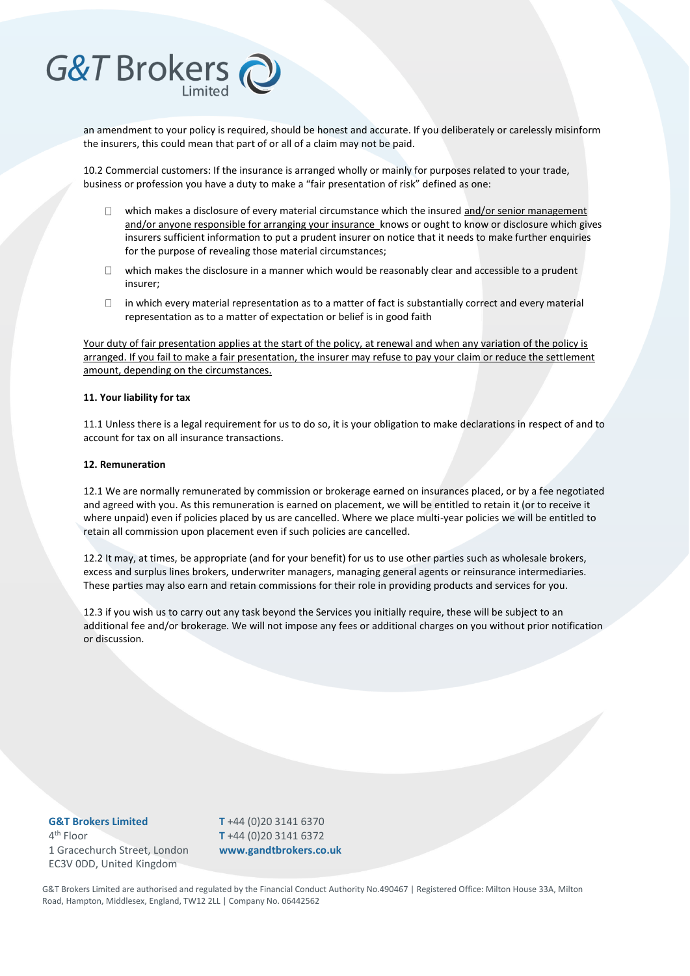

an amendment to your policy is required, should be honest and accurate. If you deliberately or carelessly misinform the insurers, this could mean that part of or all of a claim may not be paid.

10.2 Commercial customers: If the insurance is arranged wholly or mainly for purposes related to your trade, business or profession you have a duty to make a "fair presentation of risk" defined as one:

- $\Box$ which makes a disclosure of every material circumstance which the insured and/or senior management and/or anyone responsible for arranging your insurance knows or ought to know or disclosure which gives insurers sufficient information to put a prudent insurer on notice that it needs to make further enquiries for the purpose of revealing those material circumstances;
- $\Box$  which makes the disclosure in a manner which would be reasonably clear and accessible to a prudent insurer;
- in which every material representation as to a matter of fact is substantially correct and every material  $\Box$ representation as to a matter of expectation or belief is in good faith

Your duty of fair presentation applies at the start of the policy, at renewal and when any variation of the policy is arranged. If you fail to make a fair presentation, the insurer may refuse to pay your claim or reduce the settlement amount, depending on the circumstances.

#### **11. Your liability for tax**

11.1 Unless there is a legal requirement for us to do so, it is your obligation to make declarations in respect of and to account for tax on all insurance transactions.

#### **12. Remuneration**

12.1 We are normally remunerated by commission or brokerage earned on insurances placed, or by a fee negotiated and agreed with you. As this remuneration is earned on placement, we will be entitled to retain it (or to receive it where unpaid) even if policies placed by us are cancelled. Where we place multi-year policies we will be entitled to retain all commission upon placement even if such policies are cancelled.

12.2 It may, at times, be appropriate (and for your benefit) for us to use other parties such as wholesale brokers, excess and surplus lines brokers, underwriter managers, managing general agents or reinsurance intermediaries. These parties may also earn and retain commissions for their role in providing products and services for you.

12.3 if you wish us to carry out any task beyond the Services you initially require, these will be subject to an additional fee and/or brokerage. We will not impose any fees or additional charges on you without prior notification or discussion.

**G&T Brokers Limited** 4<sup>th</sup> Floor 1 Gracechurch Street, London EC3V 0DD, United Kingdom

**T** +44 (0)20 3141 6370 **T** +44 (0)20 3141 6372 **www.gandtbrokers.co.uk**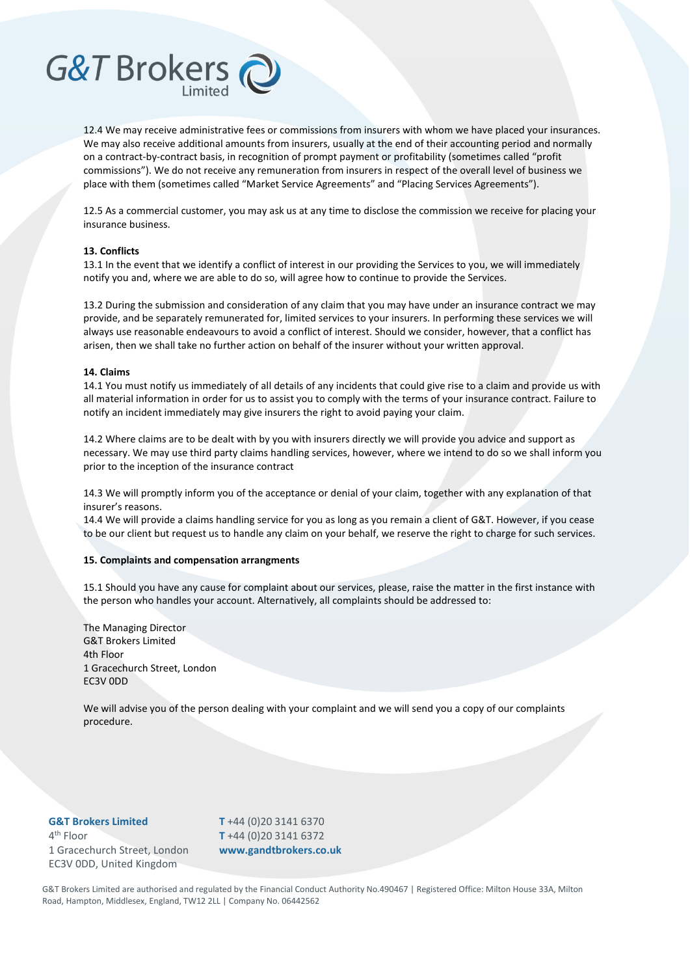#### 12.4 We may receive administrative fees or commissions from insurers with whom we have placed your insurances. We may also receive additional amounts from insurers, usually at the end of their accounting period and normally on a contract-by-contract basis, in recognition of prompt payment or profitability (sometimes called "profit commissions"). We do not receive any remuneration from insurers in respect of the overall level of business we place with them (sometimes called "Market Service Agreements" and "Placing Services Agreements").

12.5 As a commercial customer, you may ask us at any time to disclose the commission we receive for placing your insurance business.

#### **13. Conflicts**

**G&T Brokers** 

13.1 In the event that we identify a conflict of interest in our providing the Services to you, we will immediately notify you and, where we are able to do so, will agree how to continue to provide the Services.

13.2 During the submission and consideration of any claim that you may have under an insurance contract we may provide, and be separately remunerated for, limited services to your insurers. In performing these services we will always use reasonable endeavours to avoid a conflict of interest. Should we consider, however, that a conflict has arisen, then we shall take no further action on behalf of the insurer without your written approval.

#### **14. Claims**

14.1 You must notify us immediately of all details of any incidents that could give rise to a claim and provide us with all material information in order for us to assist you to comply with the terms of your insurance contract. Failure to notify an incident immediately may give insurers the right to avoid paying your claim.

14.2 Where claims are to be dealt with by you with insurers directly we will provide you advice and support as necessary. We may use third party claims handling services, however, where we intend to do so we shall inform you prior to the inception of the insurance contract

14.3 We will promptly inform you of the acceptance or denial of your claim, together with any explanation of that insurer's reasons.

14.4 We will provide a claims handling service for you as long as you remain a client of G&T. However, if you cease to be our client but request us to handle any claim on your behalf, we reserve the right to charge for such services.

#### **15. Complaints and compensation arrangments**

15.1 Should you have any cause for complaint about our services, please, raise the matter in the first instance with the person who handles your account. Alternatively, all complaints should be addressed to:

The Managing Director G&T Brokers Limited 4th Floor 1 Gracechurch Street, London EC3V 0DD

We will advise you of the person dealing with your complaint and we will send you a copy of our complaints procedure.

#### **G&T Brokers Limited**

4<sup>th</sup> Floor 1 Gracechurch Street, London EC3V 0DD, United Kingdom

**T** +44 (0)20 3141 6370 **T** +44 (0)20 3141 6372 **www.gandtbrokers.co.uk**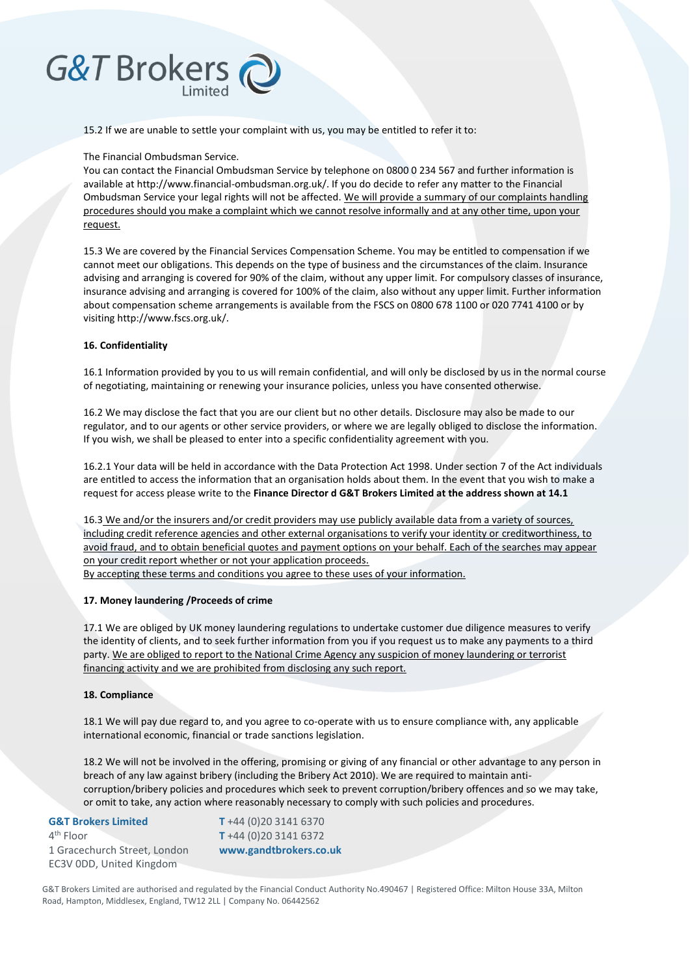15.2 If we are unable to settle your complaint with us, you may be entitled to refer it to:

#### The Financial Ombudsman Service.

You can contact the Financial Ombudsman Service by telephone on 0800 0 234 567 and further information is available at http://www.financial-ombudsman.org.uk/. If you do decide to refer any matter to the Financial Ombudsman Service your legal rights will not be affected. We will provide a summary of our complaints handling procedures should you make a complaint which we cannot resolve informally and at any other time, upon your request.

15.3 We are covered by the Financial Services Compensation Scheme. You may be entitled to compensation if we cannot meet our obligations. This depends on the type of business and the circumstances of the claim. Insurance advising and arranging is covered for 90% of the claim, without any upper limit. For compulsory classes of insurance, insurance advising and arranging is covered for 100% of the claim, also without any upper limit. Further information about compensation scheme arrangements is available from the FSCS on 0800 678 1100 or 020 7741 4100 or by visiting http://www.fscs.org.uk/.

#### **16. Confidentiality**

16.1 Information provided by you to us will remain confidential, and will only be disclosed by us in the normal course of negotiating, maintaining or renewing your insurance policies, unless you have consented otherwise.

16.2 We may disclose the fact that you are our client but no other details. Disclosure may also be made to our regulator, and to our agents or other service providers, or where we are legally obliged to disclose the information. If you wish, we shall be pleased to enter into a specific confidentiality agreement with you.

16.2.1 Your data will be held in accordance with the Data Protection Act 1998. Under section 7 of the Act individuals are entitled to access the information that an organisation holds about them. In the event that you wish to make a request for access please write to the **Finance Director d G&T Brokers Limited at the address shown at 14.1** 

16.3 We and/or the insurers and/or credit providers may use publicly available data from a variety of sources, including credit reference agencies and other external organisations to verify your identity or creditworthiness, to avoid fraud, and to obtain beneficial quotes and payment options on your behalf. Each of the searches may appear on your credit report whether or not your application proceeds.

By accepting these terms and conditions you agree to these uses of your information.

#### **17. Money laundering /Proceeds of crime**

17.1 We are obliged by UK money laundering regulations to undertake customer due diligence measures to verify the identity of clients, and to seek further information from you if you request us to make any payments to a third party. We are obliged to report to the National Crime Agency any suspicion of money laundering or terrorist financing activity and we are prohibited from disclosing any such report.

#### **18. Compliance**

18.1 We will pay due regard to, and you agree to co-operate with us to ensure compliance with, any applicable international economic, financial or trade sanctions legislation.

18.2 We will not be involved in the offering, promising or giving of any financial or other advantage to any person in breach of any law against bribery (including the Bribery Act 2010). We are required to maintain anticorruption/bribery policies and procedures which seek to prevent corruption/bribery offences and so we may take, or omit to take, any action where reasonably necessary to comply with such policies and procedures.

#### **G&T Brokers Limited** 4<sup>th</sup> Floor 1 Gracechurch Street, London

EC3V 0DD, United Kingdom

**T** +44 (0)20 3141 6370 **T** +44 (0)20 3141 6372 **www.gandtbrokers.co.uk**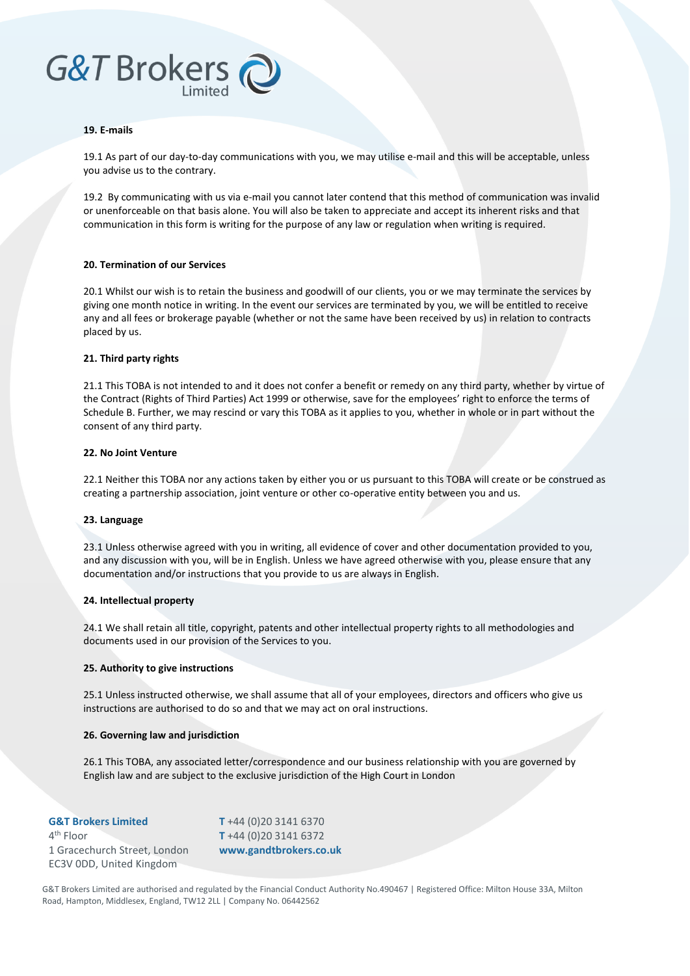#### **19. E-mails**

19.1 As part of our day-to-day communications with you, we may utilise e-mail and this will be acceptable, unless you advise us to the contrary.

19.2 By communicating with us via e-mail you cannot later contend that this method of communication was invalid or unenforceable on that basis alone. You will also be taken to appreciate and accept its inherent risks and that communication in this form is writing for the purpose of any law or regulation when writing is required.

#### **20. Termination of our Services**

20.1 Whilst our wish is to retain the business and goodwill of our clients, you or we may terminate the services by giving one month notice in writing. In the event our services are terminated by you, we will be entitled to receive any and all fees or brokerage payable (whether or not the same have been received by us) in relation to contracts placed by us.

#### **21. Third party rights**

21.1 This TOBA is not intended to and it does not confer a benefit or remedy on any third party, whether by virtue of the Contract (Rights of Third Parties) Act 1999 or otherwise, save for the employees' right to enforce the terms of Schedule B. Further, we may rescind or vary this TOBA as it applies to you, whether in whole or in part without the consent of any third party.

#### **22. No Joint Venture**

22.1 Neither this TOBA nor any actions taken by either you or us pursuant to this TOBA will create or be construed as creating a partnership association, joint venture or other co-operative entity between you and us.

#### **23. Language**

23.1 Unless otherwise agreed with you in writing, all evidence of cover and other documentation provided to you, and any discussion with you, will be in English. Unless we have agreed otherwise with you, please ensure that any documentation and/or instructions that you provide to us are always in English.

#### **24. Intellectual property**

24.1 We shall retain all title, copyright, patents and other intellectual property rights to all methodologies and documents used in our provision of the Services to you.

#### **25. Authority to give instructions**

25.1 Unless instructed otherwise, we shall assume that all of your employees, directors and officers who give us instructions are authorised to do so and that we may act on oral instructions.

#### **26. Governing law and jurisdiction**

26.1 This TOBA, any associated letter/correspondence and our business relationship with you are governed by English law and are subject to the exclusive jurisdiction of the High Court in London

| <b>G&amp;T Brokers Limited</b> | $T + 44 (0)20 3141 6370$ |
|--------------------------------|--------------------------|
| $4th$ Floor                    | $T + 44 (0)20 3141 6372$ |
| 1 Gracechurch Street, London   | www.gandtbrokers.co.uk   |
| EC3V ODD, United Kingdom       |                          |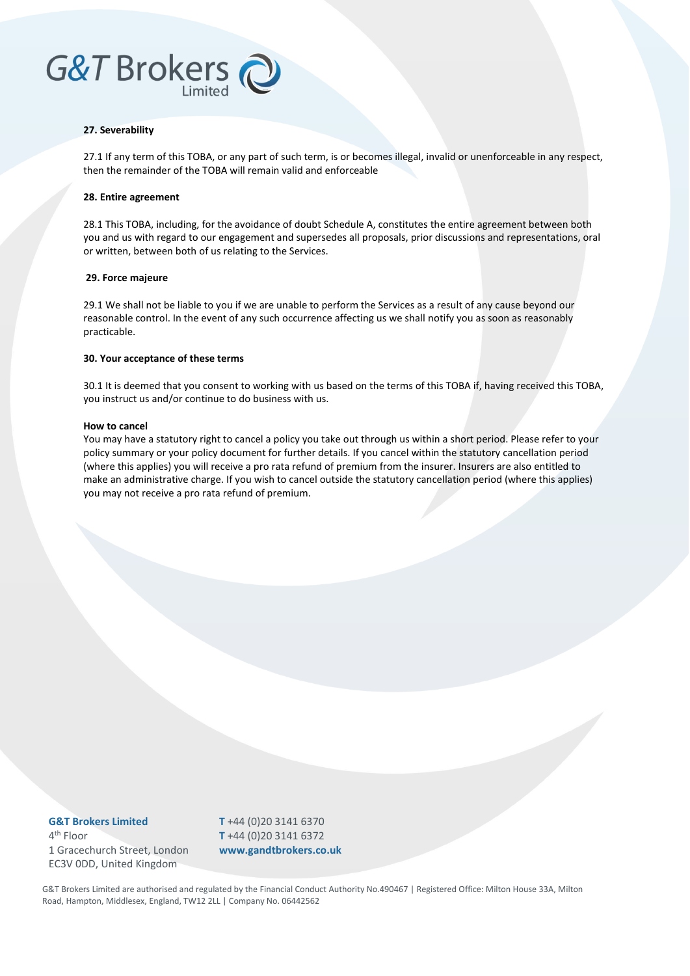#### **27. Severability**

27.1 If any term of this TOBA, or any part of such term, is or becomes illegal, invalid or unenforceable in any respect, then the remainder of the TOBA will remain valid and enforceable

#### **28. Entire agreement**

28.1 This TOBA, including, for the avoidance of doubt Schedule A, constitutes the entire agreement between both you and us with regard to our engagement and supersedes all proposals, prior discussions and representations, oral or written, between both of us relating to the Services.

#### **29. Force majeure**

29.1 We shall not be liable to you if we are unable to perform the Services as a result of any cause beyond our reasonable control. In the event of any such occurrence affecting us we shall notify you as soon as reasonably practicable.

#### **30. Your acceptance of these terms**

30.1 It is deemed that you consent to working with us based on the terms of this TOBA if, having received this TOBA, you instruct us and/or continue to do business with us.

#### **How to cancel**

You may have a statutory right to cancel a policy you take out through us within a short period. Please refer to your policy summary or your policy document for further details. If you cancel within the statutory cancellation period (where this applies) you will receive a pro rata refund of premium from the insurer. Insurers are also entitled to make an administrative charge. If you wish to cancel outside the statutory cancellation period (where this applies) you may not receive a pro rata refund of premium.

**G&T Brokers Limited** 4<sup>th</sup> Floor 1 Gracechurch Street, London EC3V 0DD, United Kingdom

**T** +44 (0)20 3141 6370 **T** +44 (0)20 3141 6372 **www.gandtbrokers.co.uk**